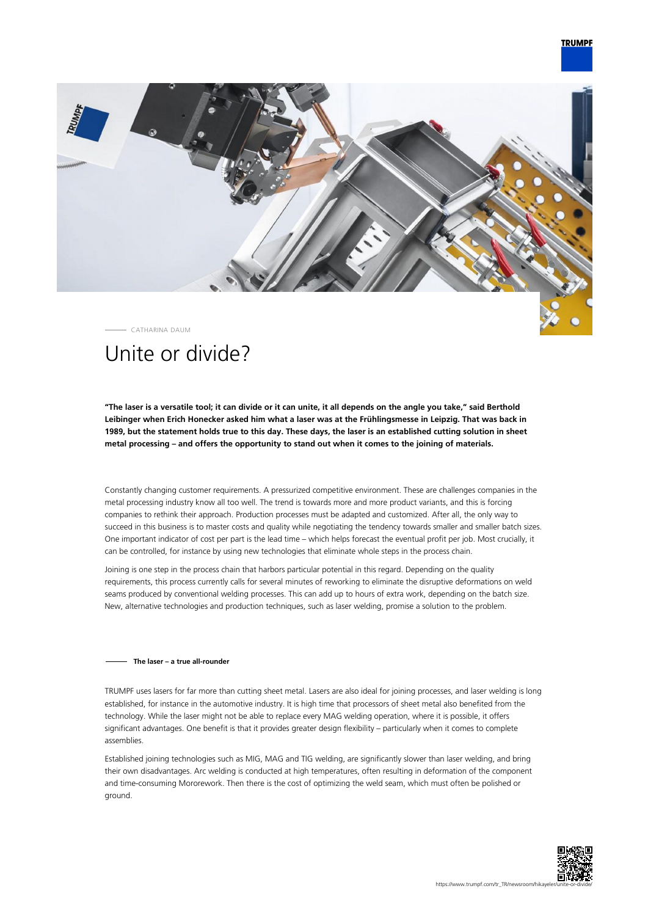## **TRUMPF**



CATHARINA DAUM

# Unite or divide?

**"The laser is a versatile tool; it can divide or it can unite, it all depends on the angle you take," said Berthold Leibinger when Erich Honecker asked him what a laser was at the Frühlingsmesse in Leipzig. That was back in 1989, but the statement holds true to this day. These days, the laser is an established cutting solution in sheet metal processing – and offers the opportunity to stand out when it comes to the joining of materials.**

Constantly changing customer requirements. A pressurized competitive environment. These are challenges companies in the metal processing industry know all too well. The trend is towards more and more product variants, and this is forcing companies to rethink their approach. Production processes must be adapted and customized. After all, the only way to succeed in this business is to master costs and quality while negotiating the tendency towards smaller and smaller batch sizes. One important indicator of cost per part is the lead time – which helps forecast the eventual profit per job. Most crucially, it can be controlled, for instance by using new technologies that eliminate whole steps in the process chain.

Joining is one step in the process chain that harbors particular potential in this regard. Depending on the quality requirements, this process currently calls for several minutes of reworking to eliminate the disruptive deformations on weld seams produced by conventional welding processes. This can add up to hours of extra work, depending on the batch size. New, alternative technologies and production techniques, such as laser welding, promise a solution to the problem.

### **The laser – a true all-rounder**

TRUMPF uses lasers for far more than cutting sheet metal. Lasers are also ideal for joining processes, and laser welding is long established, for instance in the automotive industry. It is high time that processors of sheet metal also benefited from the technology. While the laser might not be able to replace every MAG welding operation, where it is possible, it offers significant advantages. One benefit is that it provides greater design flexibility – particularly when it comes to complete assemblies.

Established joining technologies such as MIG, MAG and TIG welding, are significantly slower than laser welding, and bring their own disadvantages. Arc welding is conducted at high temperatures, often resulting in deformation of the component and time-consuming Mororework. Then there is the cost of optimizing the weld seam, which must often be polished or ground.

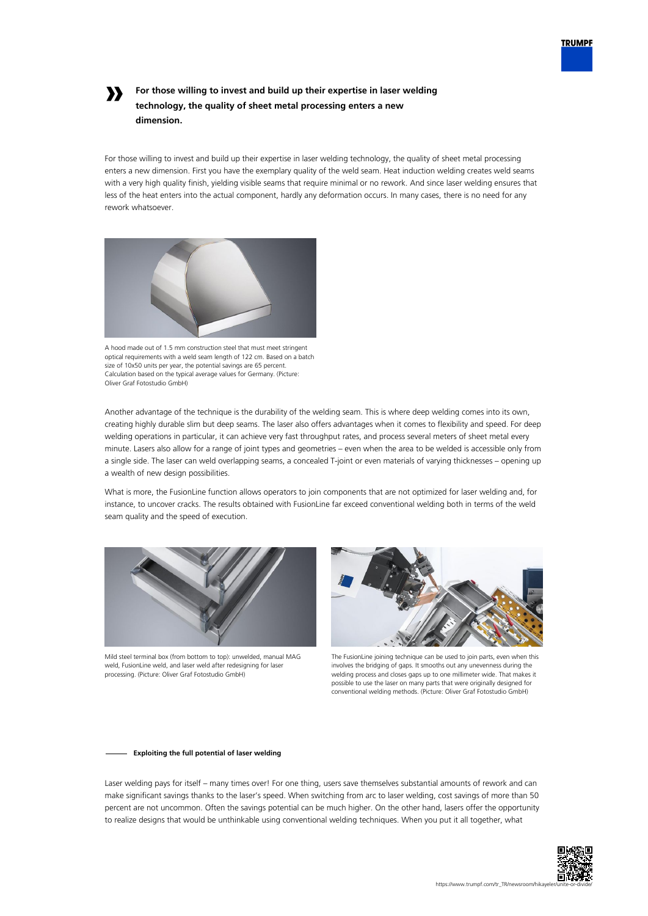

## **»**

## **For those willing to invest and build up their expertise in laser welding technology, the quality of sheet metal processing enters a new dimension.**

For those willing to invest and build up their expertise in laser welding technology, the quality of sheet metal processing enters a new dimension. First you have the exemplary quality of the weld seam. Heat induction welding creates weld seams with a very high quality finish, yielding visible seams that require minimal or no rework. And since laser welding ensures that less of the heat enters into the actual component, hardly any deformation occurs. In many cases, there is no need for any rework whatsoever.



A hood made out of 1.5 mm construction steel that must meet stringent optical requirements with a weld seam length of 122 cm. Based on a batch size of 10x50 units per year, the potential savings are 65 percent. Calculation based on the typical average values for Germany. (Picture: Oliver Graf Fotostudio GmbH)

Another advantage of the technique is the durability of the welding seam. This is where deep welding comes into its own, creating highly durable slim but deep seams. The laser also offers advantages when it comes to flexibility and speed. For deep welding operations in particular, it can achieve very fast throughput rates, and process several meters of sheet metal every minute. Lasers also allow for a range of joint types and geometries – even when the area to be welded is accessible only from a single side. The laser can weld overlapping seams, a concealed T-joint or even materials of varying thicknesses – opening up a wealth of new design possibilities.

What is more, the FusionLine function allows operators to join components that are not optimized for laser welding and, for instance, to uncover cracks. The results obtained with FusionLine far exceed conventional welding both in terms of the weld seam quality and the speed of execution.



Mild steel terminal box (from bottom to top): unwelded, manual MAG weld, FusionLine weld, and laser weld after redesigning for laser processing. (Picture: Oliver Graf Fotostudio GmbH)



The FusionLine joining technique can be used to join parts, even when this involves the bridging of gaps. It smooths out any unevenness during the welding process and closes gaps up to one millimeter wide. That makes it possible to use the laser on many parts that were originally designed for conventional welding methods. (Picture: Oliver Graf Fotostudio GmbH)

### **Exploiting the full potential of laser welding**

Laser welding pays for itself – many times over! For one thing, users save themselves substantial amounts of rework and can make significant savings thanks to the laser's speed. When switching from arc to laser welding, cost savings of more than 50 percent are not uncommon. Often the savings potential can be much higher. On the other hand, lasers offer the opportunity to realize designs that would be unthinkable using conventional welding techniques. When you put it all together, what